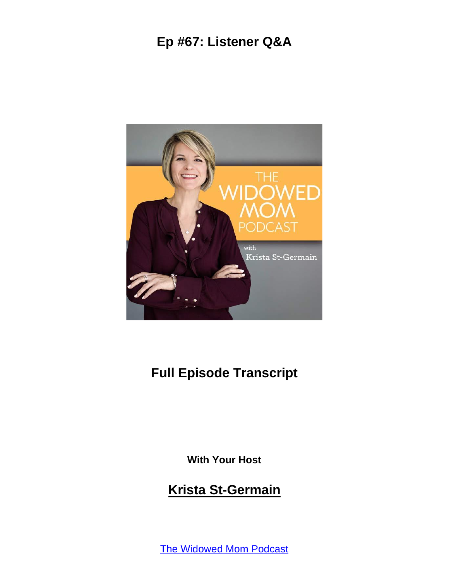

#### **Full Episode Transcript**

**With Your Host**

#### **Krista St-Germain**

The [Widowed](https://coachingwithkrista.com/podcast) Mom Podcast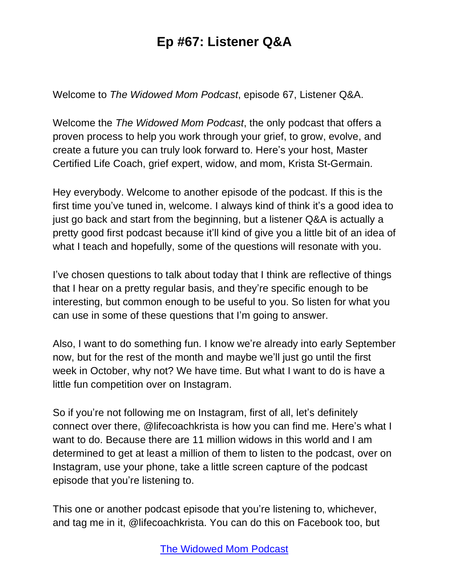Welcome to *The Widowed Mom Podcast*, episode 67, Listener Q&A.

Welcome the *The Widowed Mom Podcast*, the only podcast that offers a proven process to help you work through your grief, to grow, evolve, and create a future you can truly look forward to. Here's your host, Master Certified Life Coach, grief expert, widow, and mom, Krista St-Germain.

Hey everybody. Welcome to another episode of the podcast. If this is the first time you've tuned in, welcome. I always kind of think it's a good idea to just go back and start from the beginning, but a listener Q&A is actually a pretty good first podcast because it'll kind of give you a little bit of an idea of what I teach and hopefully, some of the questions will resonate with you.

I've chosen questions to talk about today that I think are reflective of things that I hear on a pretty regular basis, and they're specific enough to be interesting, but common enough to be useful to you. So listen for what you can use in some of these questions that I'm going to answer.

Also, I want to do something fun. I know we're already into early September now, but for the rest of the month and maybe we'll just go until the first week in October, why not? We have time. But what I want to do is have a little fun competition over on Instagram.

So if you're not following me on Instagram, first of all, let's definitely connect over there, @lifecoachkrista is how you can find me. Here's what I want to do. Because there are 11 million widows in this world and I am determined to get at least a million of them to listen to the podcast, over on Instagram, use your phone, take a little screen capture of the podcast episode that you're listening to.

This one or another podcast episode that you're listening to, whichever, and tag me in it, @lifecoachkrista. You can do this on Facebook too, but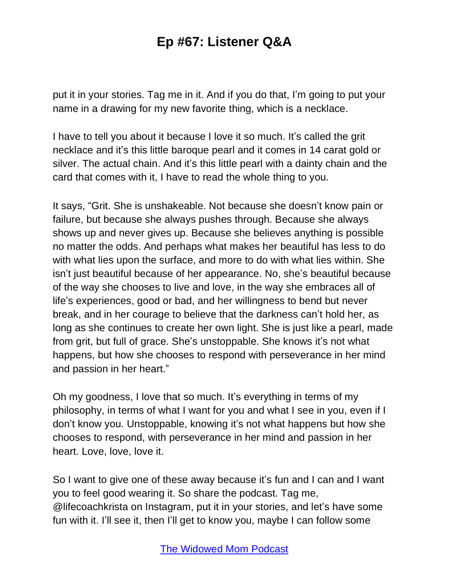put it in your stories. Tag me in it. And if you do that, I'm going to put your name in a drawing for my new favorite thing, which is a necklace.

I have to tell you about it because I love it so much. It's called the grit necklace and it's this little baroque pearl and it comes in 14 carat gold or silver. The actual chain. And it's this little pearl with a dainty chain and the card that comes with it, I have to read the whole thing to you.

It says, "Grit. She is unshakeable. Not because she doesn't know pain or failure, but because she always pushes through. Because she always shows up and never gives up. Because she believes anything is possible no matter the odds. And perhaps what makes her beautiful has less to do with what lies upon the surface, and more to do with what lies within. She isn't just beautiful because of her appearance. No, she's beautiful because of the way she chooses to live and love, in the way she embraces all of life's experiences, good or bad, and her willingness to bend but never break, and in her courage to believe that the darkness can't hold her, as long as she continues to create her own light. She is just like a pearl, made from grit, but full of grace. She's unstoppable. She knows it's not what happens, but how she chooses to respond with perseverance in her mind and passion in her heart."

Oh my goodness, I love that so much. It's everything in terms of my philosophy, in terms of what I want for you and what I see in you, even if I don't know you. Unstoppable, knowing it's not what happens but how she chooses to respond, with perseverance in her mind and passion in her heart. Love, love, love it.

So I want to give one of these away because it's fun and I can and I want you to feel good wearing it. So share the podcast. Tag me, @lifecoachkrista on Instagram, put it in your stories, and let's have some fun with it. I'll see it, then I'll get to know you, maybe I can follow some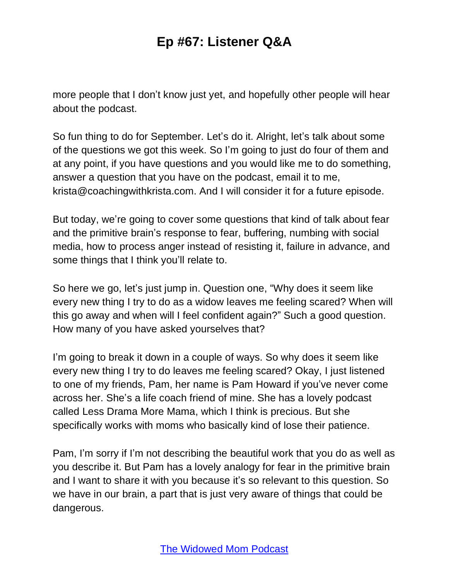more people that I don't know just yet, and hopefully other people will hear about the podcast.

So fun thing to do for September. Let's do it. Alright, let's talk about some of the questions we got this week. So I'm going to just do four of them and at any point, if you have questions and you would like me to do something, answer a question that you have on the podcast, email it to me, krista@coachingwithkrista.com. And I will consider it for a future episode.

But today, we're going to cover some questions that kind of talk about fear and the primitive brain's response to fear, buffering, numbing with social media, how to process anger instead of resisting it, failure in advance, and some things that I think you'll relate to.

So here we go, let's just jump in. Question one, "Why does it seem like every new thing I try to do as a widow leaves me feeling scared? When will this go away and when will I feel confident again?" Such a good question. How many of you have asked yourselves that?

I'm going to break it down in a couple of ways. So why does it seem like every new thing I try to do leaves me feeling scared? Okay, I just listened to one of my friends, Pam, her name is Pam Howard if you've never come across her. She's a life coach friend of mine. She has a lovely podcast called Less Drama More Mama, which I think is precious. But she specifically works with moms who basically kind of lose their patience.

Pam, I'm sorry if I'm not describing the beautiful work that you do as well as you describe it. But Pam has a lovely analogy for fear in the primitive brain and I want to share it with you because it's so relevant to this question. So we have in our brain, a part that is just very aware of things that could be dangerous.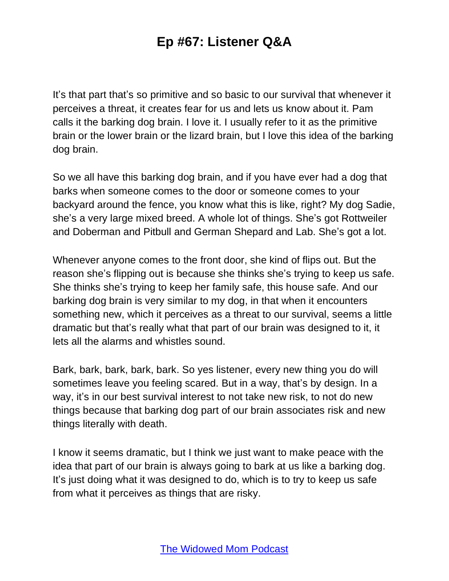It's that part that's so primitive and so basic to our survival that whenever it perceives a threat, it creates fear for us and lets us know about it. Pam calls it the barking dog brain. I love it. I usually refer to it as the primitive brain or the lower brain or the lizard brain, but I love this idea of the barking dog brain.

So we all have this barking dog brain, and if you have ever had a dog that barks when someone comes to the door or someone comes to your backyard around the fence, you know what this is like, right? My dog Sadie, she's a very large mixed breed. A whole lot of things. She's got Rottweiler and Doberman and Pitbull and German Shepard and Lab. She's got a lot.

Whenever anyone comes to the front door, she kind of flips out. But the reason she's flipping out is because she thinks she's trying to keep us safe. She thinks she's trying to keep her family safe, this house safe. And our barking dog brain is very similar to my dog, in that when it encounters something new, which it perceives as a threat to our survival, seems a little dramatic but that's really what that part of our brain was designed to it, it lets all the alarms and whistles sound.

Bark, bark, bark, bark, bark. So yes listener, every new thing you do will sometimes leave you feeling scared. But in a way, that's by design. In a way, it's in our best survival interest to not take new risk, to not do new things because that barking dog part of our brain associates risk and new things literally with death.

I know it seems dramatic, but I think we just want to make peace with the idea that part of our brain is always going to bark at us like a barking dog. It's just doing what it was designed to do, which is to try to keep us safe from what it perceives as things that are risky.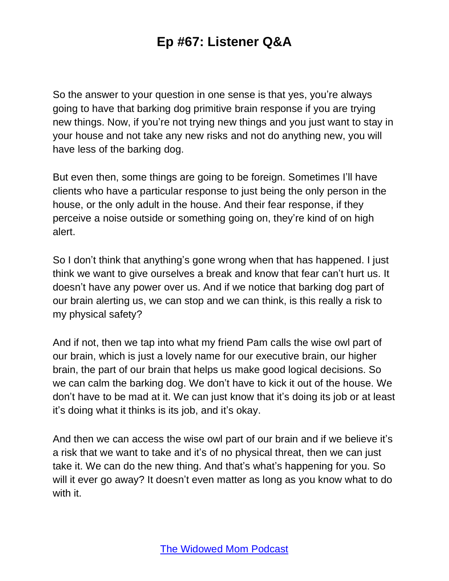So the answer to your question in one sense is that yes, you're always going to have that barking dog primitive brain response if you are trying new things. Now, if you're not trying new things and you just want to stay in your house and not take any new risks and not do anything new, you will have less of the barking dog.

But even then, some things are going to be foreign. Sometimes I'll have clients who have a particular response to just being the only person in the house, or the only adult in the house. And their fear response, if they perceive a noise outside or something going on, they're kind of on high alert.

So I don't think that anything's gone wrong when that has happened. I just think we want to give ourselves a break and know that fear can't hurt us. It doesn't have any power over us. And if we notice that barking dog part of our brain alerting us, we can stop and we can think, is this really a risk to my physical safety?

And if not, then we tap into what my friend Pam calls the wise owl part of our brain, which is just a lovely name for our executive brain, our higher brain, the part of our brain that helps us make good logical decisions. So we can calm the barking dog. We don't have to kick it out of the house. We don't have to be mad at it. We can just know that it's doing its job or at least it's doing what it thinks is its job, and it's okay.

And then we can access the wise owl part of our brain and if we believe it's a risk that we want to take and it's of no physical threat, then we can just take it. We can do the new thing. And that's what's happening for you. So will it ever go away? It doesn't even matter as long as you know what to do with it.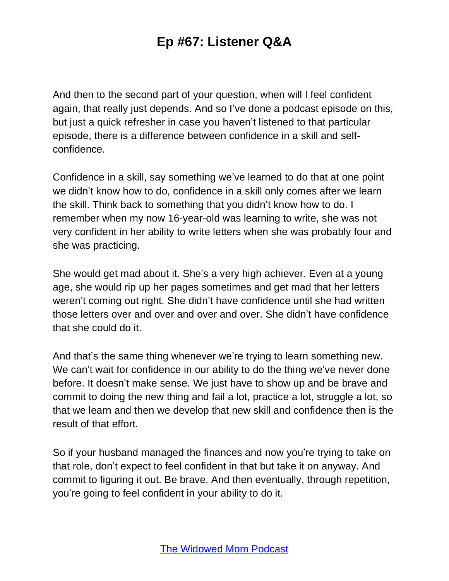And then to the second part of your question, when will I feel confident again, that really just depends. And so I've done a podcast episode on this, but just a quick refresher in case you haven't listened to that particular episode, there is a difference between confidence in a skill and selfconfidence.

Confidence in a skill, say something we've learned to do that at one point we didn't know how to do, confidence in a skill only comes after we learn the skill. Think back to something that you didn't know how to do. I remember when my now 16-year-old was learning to write, she was not very confident in her ability to write letters when she was probably four and she was practicing.

She would get mad about it. She's a very high achiever. Even at a young age, she would rip up her pages sometimes and get mad that her letters weren't coming out right. She didn't have confidence until she had written those letters over and over and over and over. She didn't have confidence that she could do it.

And that's the same thing whenever we're trying to learn something new. We can't wait for confidence in our ability to do the thing we've never done before. It doesn't make sense. We just have to show up and be brave and commit to doing the new thing and fail a lot, practice a lot, struggle a lot, so that we learn and then we develop that new skill and confidence then is the result of that effort.

So if your husband managed the finances and now you're trying to take on that role, don't expect to feel confident in that but take it on anyway. And commit to figuring it out. Be brave. And then eventually, through repetition, you're going to feel confident in your ability to do it.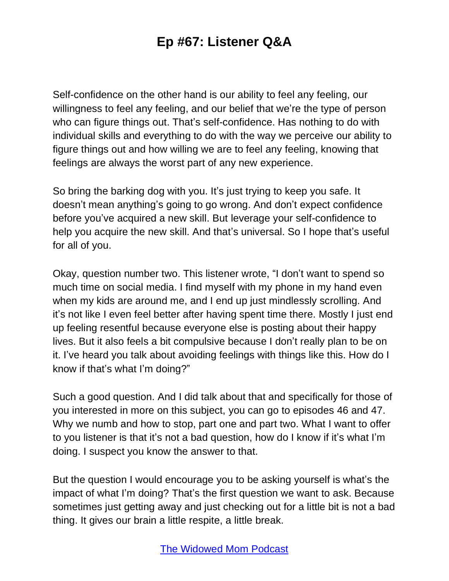Self-confidence on the other hand is our ability to feel any feeling, our willingness to feel any feeling, and our belief that we're the type of person who can figure things out. That's self-confidence. Has nothing to do with individual skills and everything to do with the way we perceive our ability to figure things out and how willing we are to feel any feeling, knowing that feelings are always the worst part of any new experience.

So bring the barking dog with you. It's just trying to keep you safe. It doesn't mean anything's going to go wrong. And don't expect confidence before you've acquired a new skill. But leverage your self-confidence to help you acquire the new skill. And that's universal. So I hope that's useful for all of you.

Okay, question number two. This listener wrote, "I don't want to spend so much time on social media. I find myself with my phone in my hand even when my kids are around me, and I end up just mindlessly scrolling. And it's not like I even feel better after having spent time there. Mostly I just end up feeling resentful because everyone else is posting about their happy lives. But it also feels a bit compulsive because I don't really plan to be on it. I've heard you talk about avoiding feelings with things like this. How do I know if that's what I'm doing?"

Such a good question. And I did talk about that and specifically for those of you interested in more on this subject, you can go to episodes 46 and 47. Why we numb and how to stop, part one and part two. What I want to offer to you listener is that it's not a bad question, how do I know if it's what I'm doing. I suspect you know the answer to that.

But the question I would encourage you to be asking yourself is what's the impact of what I'm doing? That's the first question we want to ask. Because sometimes just getting away and just checking out for a little bit is not a bad thing. It gives our brain a little respite, a little break.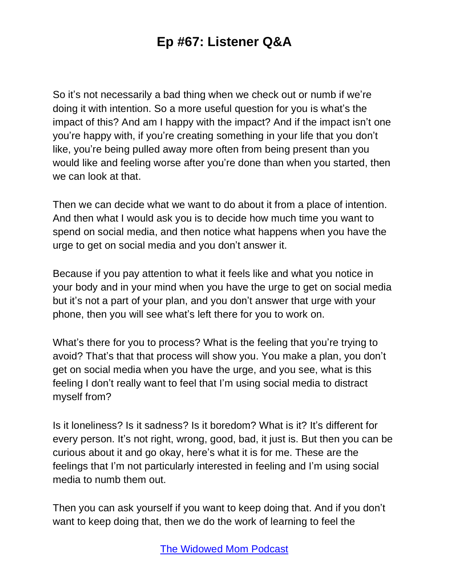So it's not necessarily a bad thing when we check out or numb if we're doing it with intention. So a more useful question for you is what's the impact of this? And am I happy with the impact? And if the impact isn't one you're happy with, if you're creating something in your life that you don't like, you're being pulled away more often from being present than you would like and feeling worse after you're done than when you started, then we can look at that.

Then we can decide what we want to do about it from a place of intention. And then what I would ask you is to decide how much time you want to spend on social media, and then notice what happens when you have the urge to get on social media and you don't answer it.

Because if you pay attention to what it feels like and what you notice in your body and in your mind when you have the urge to get on social media but it's not a part of your plan, and you don't answer that urge with your phone, then you will see what's left there for you to work on.

What's there for you to process? What is the feeling that you're trying to avoid? That's that that process will show you. You make a plan, you don't get on social media when you have the urge, and you see, what is this feeling I don't really want to feel that I'm using social media to distract myself from?

Is it loneliness? Is it sadness? Is it boredom? What is it? It's different for every person. It's not right, wrong, good, bad, it just is. But then you can be curious about it and go okay, here's what it is for me. These are the feelings that I'm not particularly interested in feeling and I'm using social media to numb them out.

Then you can ask yourself if you want to keep doing that. And if you don't want to keep doing that, then we do the work of learning to feel the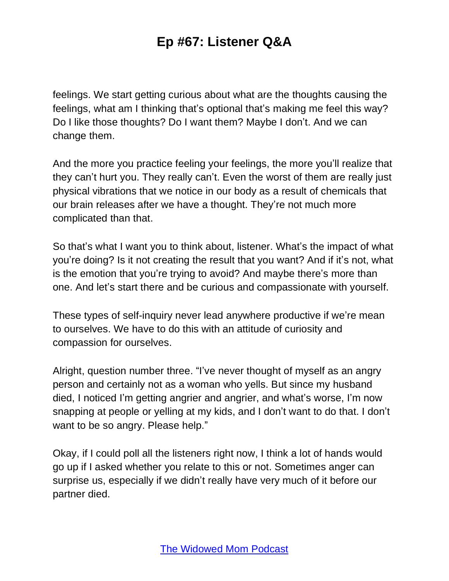feelings. We start getting curious about what are the thoughts causing the feelings, what am I thinking that's optional that's making me feel this way? Do I like those thoughts? Do I want them? Maybe I don't. And we can change them.

And the more you practice feeling your feelings, the more you'll realize that they can't hurt you. They really can't. Even the worst of them are really just physical vibrations that we notice in our body as a result of chemicals that our brain releases after we have a thought. They're not much more complicated than that.

So that's what I want you to think about, listener. What's the impact of what you're doing? Is it not creating the result that you want? And if it's not, what is the emotion that you're trying to avoid? And maybe there's more than one. And let's start there and be curious and compassionate with yourself.

These types of self-inquiry never lead anywhere productive if we're mean to ourselves. We have to do this with an attitude of curiosity and compassion for ourselves.

Alright, question number three. "I've never thought of myself as an angry person and certainly not as a woman who yells. But since my husband died, I noticed I'm getting angrier and angrier, and what's worse, I'm now snapping at people or yelling at my kids, and I don't want to do that. I don't want to be so angry. Please help."

Okay, if I could poll all the listeners right now, I think a lot of hands would go up if I asked whether you relate to this or not. Sometimes anger can surprise us, especially if we didn't really have very much of it before our partner died.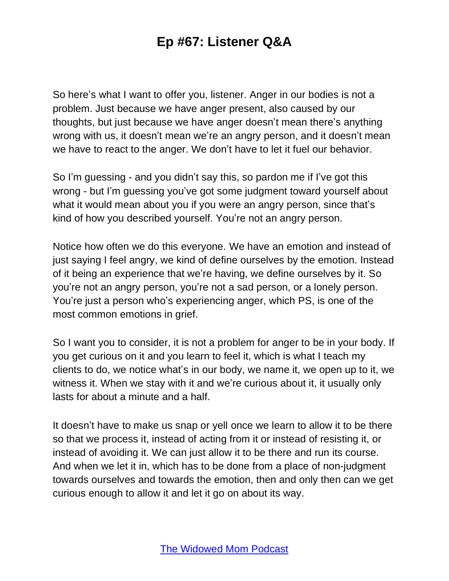So here's what I want to offer you, listener. Anger in our bodies is not a problem. Just because we have anger present, also caused by our thoughts, but just because we have anger doesn't mean there's anything wrong with us, it doesn't mean we're an angry person, and it doesn't mean we have to react to the anger. We don't have to let it fuel our behavior.

So I'm guessing - and you didn't say this, so pardon me if I've got this wrong - but I'm guessing you've got some judgment toward yourself about what it would mean about you if you were an angry person, since that's kind of how you described yourself. You're not an angry person.

Notice how often we do this everyone. We have an emotion and instead of just saying I feel angry, we kind of define ourselves by the emotion. Instead of it being an experience that we're having, we define ourselves by it. So you're not an angry person, you're not a sad person, or a lonely person. You're just a person who's experiencing anger, which PS, is one of the most common emotions in grief.

So I want you to consider, it is not a problem for anger to be in your body. If you get curious on it and you learn to feel it, which is what I teach my clients to do, we notice what's in our body, we name it, we open up to it, we witness it. When we stay with it and we're curious about it, it usually only lasts for about a minute and a half.

It doesn't have to make us snap or yell once we learn to allow it to be there so that we process it, instead of acting from it or instead of resisting it, or instead of avoiding it. We can just allow it to be there and run its course. And when we let it in, which has to be done from a place of non-judgment towards ourselves and towards the emotion, then and only then can we get curious enough to allow it and let it go on about its way.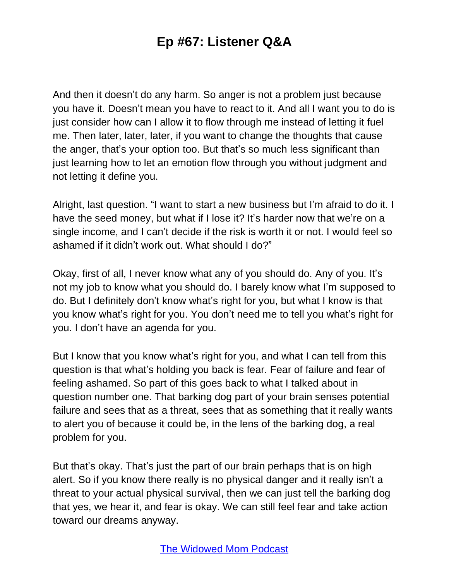And then it doesn't do any harm. So anger is not a problem just because you have it. Doesn't mean you have to react to it. And all I want you to do is just consider how can I allow it to flow through me instead of letting it fuel me. Then later, later, later, if you want to change the thoughts that cause the anger, that's your option too. But that's so much less significant than just learning how to let an emotion flow through you without judgment and not letting it define you.

Alright, last question. "I want to start a new business but I'm afraid to do it. I have the seed money, but what if I lose it? It's harder now that we're on a single income, and I can't decide if the risk is worth it or not. I would feel so ashamed if it didn't work out. What should I do?"

Okay, first of all, I never know what any of you should do. Any of you. It's not my job to know what you should do. I barely know what I'm supposed to do. But I definitely don't know what's right for you, but what I know is that you know what's right for you. You don't need me to tell you what's right for you. I don't have an agenda for you.

But I know that you know what's right for you, and what I can tell from this question is that what's holding you back is fear. Fear of failure and fear of feeling ashamed. So part of this goes back to what I talked about in question number one. That barking dog part of your brain senses potential failure and sees that as a threat, sees that as something that it really wants to alert you of because it could be, in the lens of the barking dog, a real problem for you.

But that's okay. That's just the part of our brain perhaps that is on high alert. So if you know there really is no physical danger and it really isn't a threat to your actual physical survival, then we can just tell the barking dog that yes, we hear it, and fear is okay. We can still feel fear and take action toward our dreams anyway.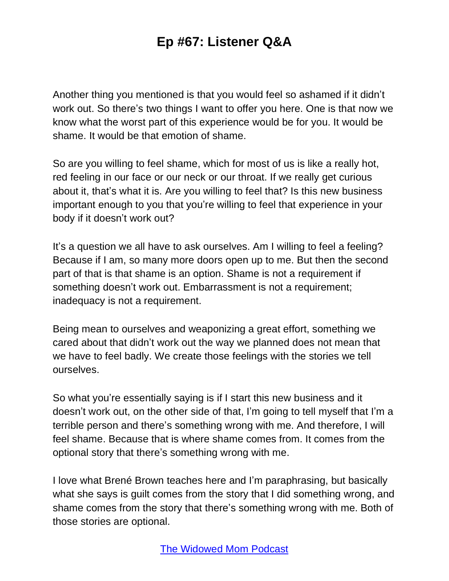Another thing you mentioned is that you would feel so ashamed if it didn't work out. So there's two things I want to offer you here. One is that now we know what the worst part of this experience would be for you. It would be shame. It would be that emotion of shame.

So are you willing to feel shame, which for most of us is like a really hot, red feeling in our face or our neck or our throat. If we really get curious about it, that's what it is. Are you willing to feel that? Is this new business important enough to you that you're willing to feel that experience in your body if it doesn't work out?

It's a question we all have to ask ourselves. Am I willing to feel a feeling? Because if I am, so many more doors open up to me. But then the second part of that is that shame is an option. Shame is not a requirement if something doesn't work out. Embarrassment is not a requirement; inadequacy is not a requirement.

Being mean to ourselves and weaponizing a great effort, something we cared about that didn't work out the way we planned does not mean that we have to feel badly. We create those feelings with the stories we tell ourselves.

So what you're essentially saying is if I start this new business and it doesn't work out, on the other side of that, I'm going to tell myself that I'm a terrible person and there's something wrong with me. And therefore, I will feel shame. Because that is where shame comes from. It comes from the optional story that there's something wrong with me.

I love what Brené Brown teaches here and I'm paraphrasing, but basically what she says is guilt comes from the story that I did something wrong, and shame comes from the story that there's something wrong with me. Both of those stories are optional.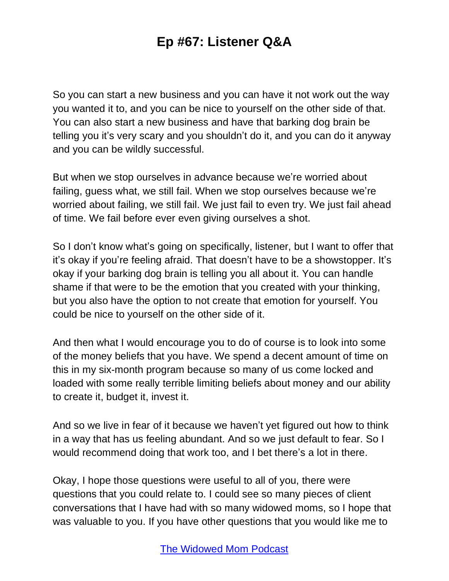So you can start a new business and you can have it not work out the way you wanted it to, and you can be nice to yourself on the other side of that. You can also start a new business and have that barking dog brain be telling you it's very scary and you shouldn't do it, and you can do it anyway and you can be wildly successful.

But when we stop ourselves in advance because we're worried about failing, guess what, we still fail. When we stop ourselves because we're worried about failing, we still fail. We just fail to even try. We just fail ahead of time. We fail before ever even giving ourselves a shot.

So I don't know what's going on specifically, listener, but I want to offer that it's okay if you're feeling afraid. That doesn't have to be a showstopper. It's okay if your barking dog brain is telling you all about it. You can handle shame if that were to be the emotion that you created with your thinking, but you also have the option to not create that emotion for yourself. You could be nice to yourself on the other side of it.

And then what I would encourage you to do of course is to look into some of the money beliefs that you have. We spend a decent amount of time on this in my six-month program because so many of us come locked and loaded with some really terrible limiting beliefs about money and our ability to create it, budget it, invest it.

And so we live in fear of it because we haven't yet figured out how to think in a way that has us feeling abundant. And so we just default to fear. So I would recommend doing that work too, and I bet there's a lot in there.

Okay, I hope those questions were useful to all of you, there were questions that you could relate to. I could see so many pieces of client conversations that I have had with so many widowed moms, so I hope that was valuable to you. If you have other questions that you would like me to